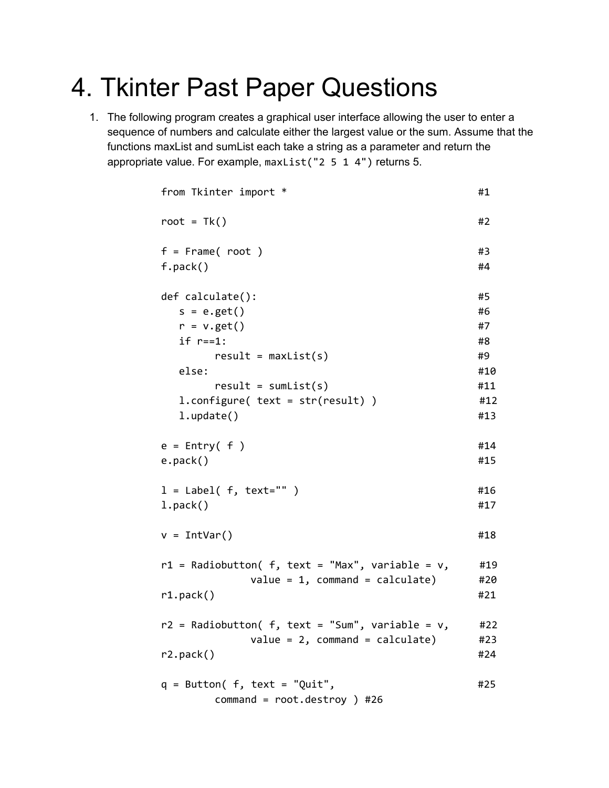## 4. Tkinter Past Paper Questions

1. The following program creates a graphical user interface allowing the user to enter a sequence of numbers and calculate either the largest value or the sum. Assume that the functions maxList and sumList each take a string as a parameter and return the appropriate value. For example, maxList("2 5 1 4") returns 5.

```
from Tkinter import * #1root = Tk() #2
f = Frame( root ) #3
f.pack() #4
def calculate(): #5s = e.get() #6
 r = v.get() #7
 if r == 1: #8
   result = maxList(s) #9
 else: #10
   result = sumList(s) #11
 l.configure( text = str(result) ) #12
 l.update() #13e = Entry( f ) #14
e.pack() #15
l = Label(f, text="") #16
l.\textsf{pack}() #17
v = IntVar() #18
r1 = Radiobutton( f, text = "Max", variable = v, #19
      value = 1, command = calculate) #20r1.pack() #21
r2 = Radiobutton( f, text = "Sum", variable = v, #22
      value = 2, command = calculate) #23
r2.pack() #24
q = Butteron(f, text = "Quit",
#25
   command = root.destroy ) #26
```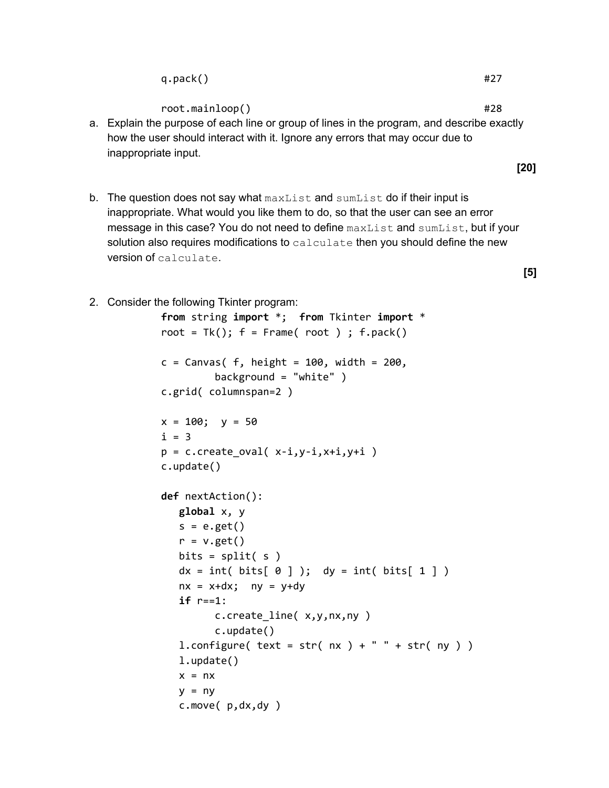root.mainloop() #28

- a. Explain the purpose of each line or group of lines in the program, and describe exactly how the user should interact with it. Ignore any errors that may occur due to inappropriate input.
- b. The question does not say what  $maxList$  and  $sumList$  do if their input is inappropriate. What would you like them to do, so that the user can see an error message in this case? You do not need to define maxList and sumList, but if your solution also requires modifications to  $\text{calculus}$  then you should define the new version of calculate.
- 2. Consider the following Tkinter program:

```
from string import *; from Tkinter import *
root = Tk(); f = Frame(root); f.pack()c = Canvas( f, height = 100, width = 200,
        background = "white" )
c.grid( columnspan=2 )
x = 100; y = 50i = 3p = c.create_oval(x-i,y-i,x+i,y+i)
c.update()
def nextAction():
  global x, y
  s = e.get()r = v.get()bits = split(s)dx = int( bits[ 0 ] ); dy = int( bits[ 1 ] )nx = x+dx; ny = y+dyif r==1:
        c.create_line( x,y,nx,ny )
        c.update()
  l.configure(text = str(nx) + " " + str(ny) )l.update()
  x = nxy = nyc.move( p,dx,dy )
```
**[5]**

**[20]**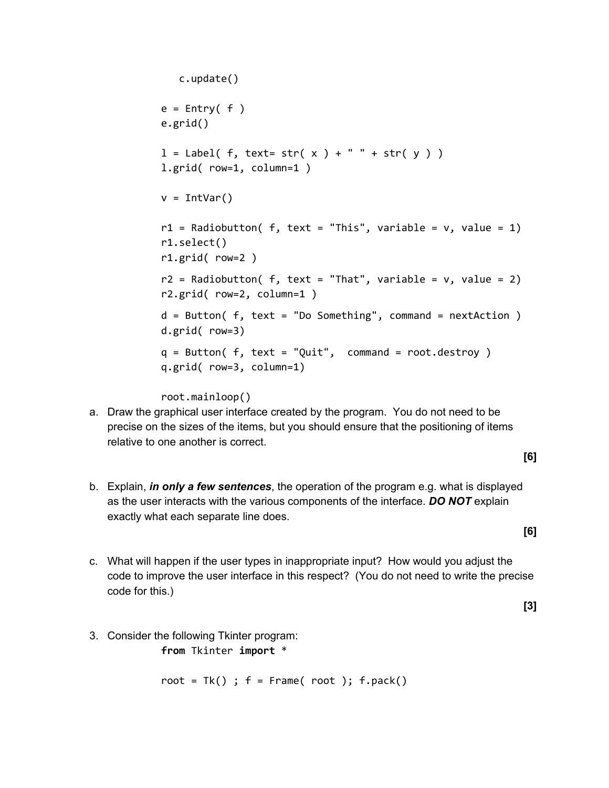```
c.update()
e = Entry( f )e.grid()
l = Label( f, text= str( x ) + " " + str( y ) )
l.grid( row=1, column=1 )
v = IntVar()r1 = Radiobutton( f, text = "This", variable = v, value = 1)
r1.select()
r1.grid( row=2 )
r2 = Radiobutton( f, text = "That", variable = v, value = 2)
r2.grid( row=2, column=1 )
d = Butteron( f, text = "Do Something", command = nextAction )d.grid( row=3)
q = Butteron(f, text = "Quit", command = root.destroy)q.grid( row=3, column=1)
```
root.mainloop()

a. Draw the graphical user interface created by the program. You do not need to be precise on the sizes of the items, but you should ensure that the positioning of items relative to one another is correct.

**[6]**

**[6]**

- b. Explain, *in only a few sentences*, the operation of the program e.g. what is displayed as the user interacts with the various components of the interface. *DO NOT* explain exactly what each separate line does.
- c. What will happen if the user types in inappropriate input? How would you adjust the code to improve the user interface in this respect? (You do not need to write the precise code for this.)

**[3]**

3. Consider the following Tkinter program:

**from** Tkinter **import** \*

root =  $Tk()$ ;  $f = Frame(root)$ ;  $f.pack()$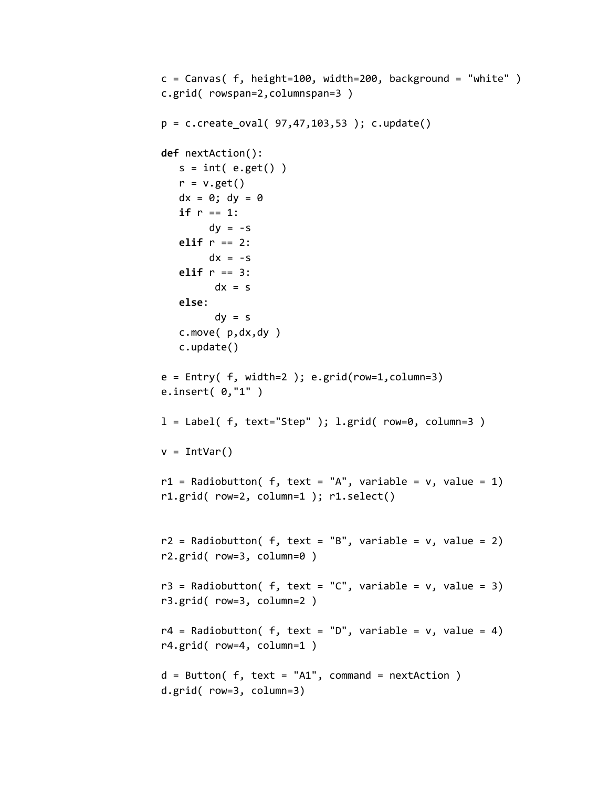```
c = Canvas( f, height=100, width=200, background = "white" )
c.grid( rowspan=2,columnspan=3 )
p = c.create_oval( 97, 47, 103, 53 ); c.update()
def nextAction():
   s = int( e.get() )r = v.get()dx = 0; dy = 0if r == 1:
        dy = -selif r == 2:
        dx = -selif r == 3:
         dx = selse:
         dy = sc.move( p,dx,dy )
   c.update()
e = Entry( f, width=2); e.grid(row=1, column=3)e.insert( 0,"1" )
l = Label( f, text="Step" ); l.grid( row=0, column=3 )
v = IntVar()r1 = Radiobutton( f, text = "A", variable = v, value = 1)
r1.grid( row=2, column=1 ); r1.select()
r2 = Radiobutton( f, text = "B", variable = v, value = 2)
r2.grid( row=3, column=0 )
r3 = Radiobutton( f, text = "C", variable = v, value = 3)
r3.grid( row=3, column=2 )
r4 = Radiobutton( f, text = "D", variable = v, value = 4)
r4.grid( row=4, column=1 )
d = Butteron( f, text = "A1", command = nextAction )d.grid( row=3, column=3)
```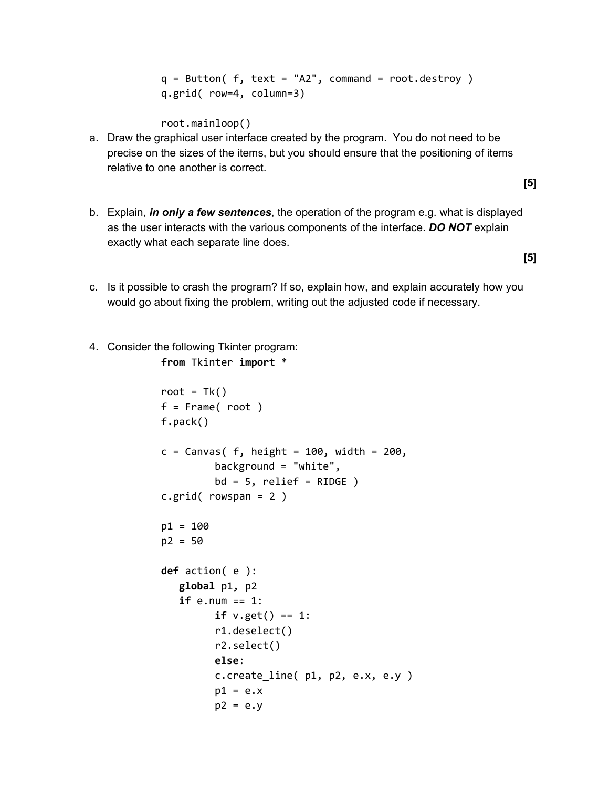$q = Butteron( f, text = "A2", command = root.destroy )$ q.grid( row=4, column=3)

root.mainloop()

a. Draw the graphical user interface created by the program. You do not need to be precise on the sizes of the items, but you should ensure that the positioning of items relative to one another is correct.

**[5]**

b. Explain, *in only a few sentences*, the operation of the program e.g. what is displayed as the user interacts with the various components of the interface. *DO NOT* explain exactly what each separate line does.

**[5]**

- c. Is it possible to crash the program? If so, explain how, and explain accurately how you would go about fixing the problem, writing out the adjusted code if necessary.
- 4. Consider the following Tkinter program: **from** Tkinter **import** \*

```
root = Tk()f = Frame( root )
f.pack()
c = Canvas( f, height = 100, width = 200,
         background = "white",
        bd = 5, relief = RIDGE )
c.grid( rowspan = 2 )p1 = 100
p2 = 50
def action( e ):
   global p1, p2
   if e.num == 1:
         if v.get() == 1:r1.deselect()
         r2.select()
        else:
         c.create_line( p1, p2, e.x, e.y )
        p1 = e.xp2 = e.y
```